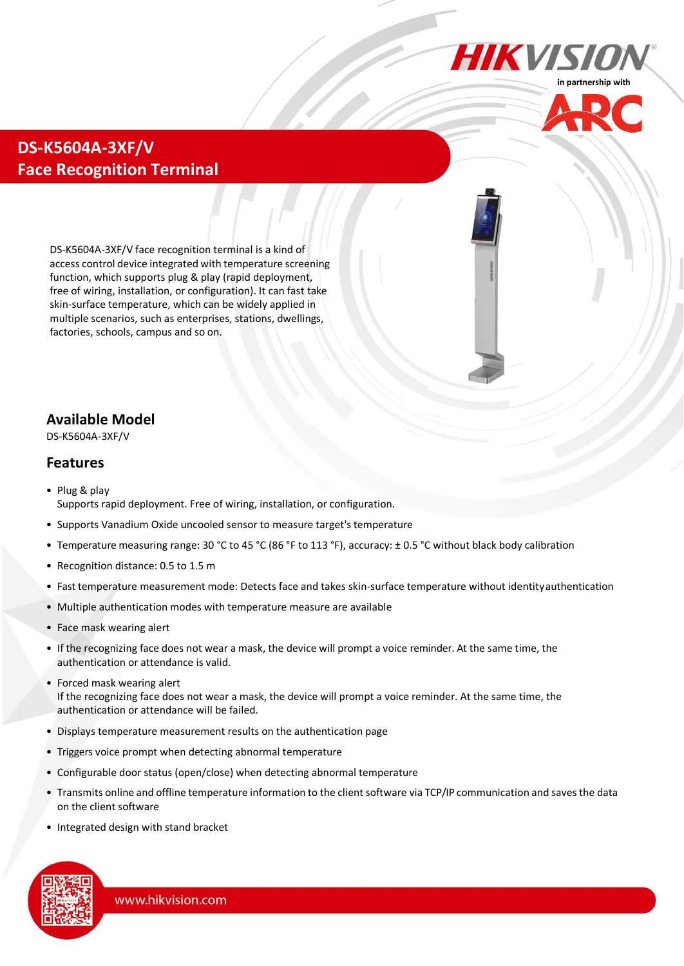



# **DS-K5604A-3XF/V Face Recognition Terminal**

DS-K5604A-3XF/V face recognition terminal is a kind of access control device integrated with temperature screening function, which supports plug & play (rapid deployment, free of wiring, installation, or configuration). It can fast take skin-surface temperature, which can be widely applied in multiple scenarios, such as enterprises, stations, dwellings, factories, schools, campus and so on.

## **Available Model**

DS-K5604A-3XF/V

#### **Features**

- Plug & play Supports rapid deployment. Free of wiring, installation, or configuration.
- Supports Vanadium Oxide uncooled sensor to measure target'stemperature
- Temperature measuring range: 30 °C to 45 °C (86 °F to 113 °F), accuracy: ± 0.5 °C without black body calibration
- Recognition distance: 0.5 to 1.5 m
- Fast temperature measurement mode: Detects face and takes skin-surface temperature without identityauthentication
- Multiple authentication modes with temperature measure are available
- Face mask wearing alert
- If the recognizing face does not wear a mask, the device will prompt a voice reminder. At the same time, the authentication or attendance is valid.
- Forced mask wearing alert If the recognizing face does not wear a mask, the device will prompt a voice reminder. At the same time, the authentication or attendance will be failed.
- Displays temperature measurement results on the authentication page
- Triggers voice prompt when detecting abnormal temperature
- Configurable door status (open/close) when detecting abnormal temperature
- Transmits online and offline temperature information to the clientsoftware via TCP/IP communication and savesthe data on the client software
- Integrated design with stand bracket

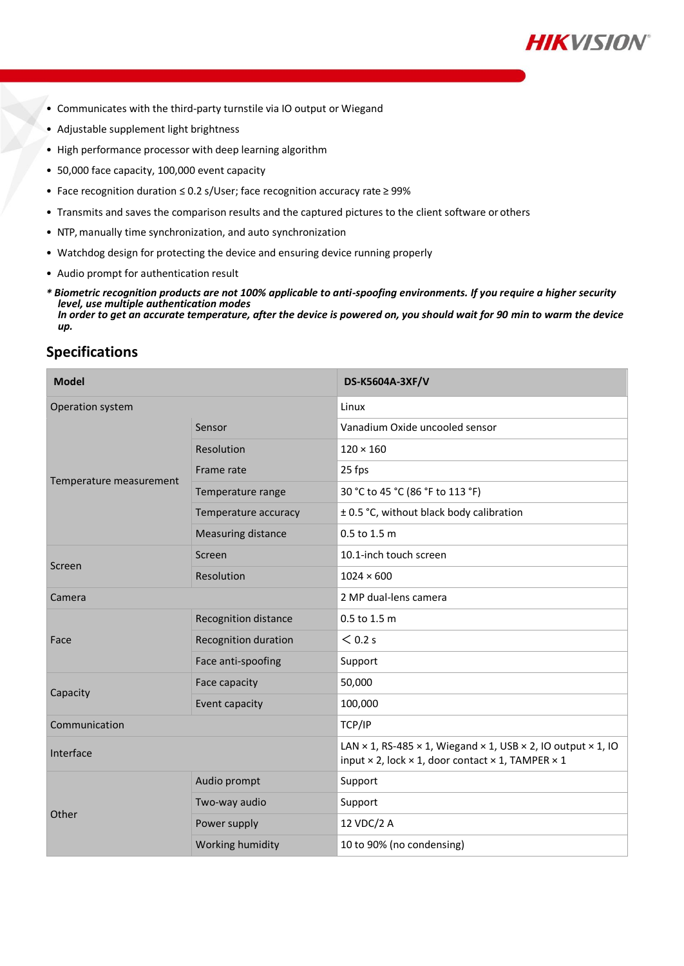

- Communicates with the third-party turnstile via IO output or Wiegand
- Adjustable supplement light brightness
- High performance processor with deep learning algorithm
- 50,000 face capacity, 100,000 event capacity
- Face recognition duration ≤ 0.2 s/User; face recognition accuracy rate ≥ 99%
- Transmits and saves the comparison results and the captured pictures to the client software or others
- NTP, manually time synchronization, and auto synchronization
- Watchdog design for protecting the device and ensuring device running properly
- Audio prompt for authentication result
- *\* Biometric recognition products are not 100% applicable to anti-spoofing environments. If you require a higher security level, use multiple authentication modes In order to get an accurate temperature, after the device is powered on, you should wait for 90 min to warm the device up.*

## **Specifications**

| <b>Model</b>            |                             | DS-K5604A-3XF/V                                                                                                                                                                  |
|-------------------------|-----------------------------|----------------------------------------------------------------------------------------------------------------------------------------------------------------------------------|
| Operation system        |                             | Linux                                                                                                                                                                            |
| Temperature measurement | Sensor                      | Vanadium Oxide uncooled sensor                                                                                                                                                   |
|                         | Resolution                  | $120 \times 160$                                                                                                                                                                 |
|                         | Frame rate                  | 25 fps                                                                                                                                                                           |
|                         | Temperature range           | 30 °C to 45 °C (86 °F to 113 °F)                                                                                                                                                 |
|                         | Temperature accuracy        | ± 0.5 °C, without black body calibration                                                                                                                                         |
|                         | <b>Measuring distance</b>   | 0.5 to 1.5 m                                                                                                                                                                     |
| Screen                  | Screen                      | 10.1-inch touch screen                                                                                                                                                           |
|                         | Resolution                  | $1024 \times 600$                                                                                                                                                                |
| Camera                  |                             | 2 MP dual-lens camera                                                                                                                                                            |
| Face                    | <b>Recognition distance</b> | 0.5 to 1.5 m                                                                                                                                                                     |
|                         | Recognition duration        | $<$ 0.2 s                                                                                                                                                                        |
|                         | Face anti-spoofing          | Support                                                                                                                                                                          |
| Capacity                | Face capacity               | 50,000                                                                                                                                                                           |
|                         | Event capacity              | 100,000                                                                                                                                                                          |
| Communication           |                             | TCP/IP                                                                                                                                                                           |
| Interface               |                             | LAN $\times$ 1, RS-485 $\times$ 1, Wiegand $\times$ 1, USB $\times$ 2, IO output $\times$ 1, IO<br>input $\times$ 2, lock $\times$ 1, door contact $\times$ 1, TAMPER $\times$ 1 |
| Other                   | Audio prompt                | Support                                                                                                                                                                          |
|                         | Two-way audio               | Support                                                                                                                                                                          |
|                         | Power supply                | 12 VDC/2 A                                                                                                                                                                       |
|                         | Working humidity            | 10 to 90% (no condensing)                                                                                                                                                        |